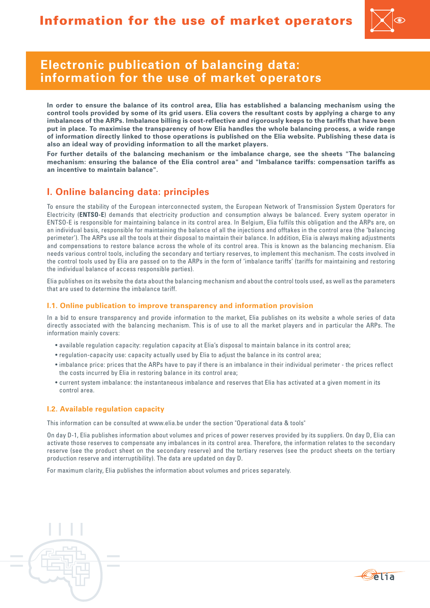

# **Electronic publication of balancing data: information for the use of market operators**

**In order to ensure the balance of its control area, Elia has established a balancing mechanism using the control tools provided by some of its grid users. Elia covers the resultant costs by applying a charge to any imbalances of the ARPs. Imbalance billing is cost-reflective and rigorously keeps to the tariffs that have been put in place. To maximise the transparency of how Elia handles the whole balancing process, a wide range of information directly linked to those operations is published on the Elia website. Publishing these data is also an ideal way of providing information to all the market players.**

**For further details of the balancing mechanism or the imbalance charge, see the sheets "The balancing mechanism: ensuring the balance of the Elia control area" and "Imbalance tariffs: compensation tariffs as an incentive to maintain balance".**

## **I. Online balancing data: principles**

To ensure the stability of the European interconnected system, the European Network of Transmission System Operators for Electricity (**ENTSO-E**) demands that electricity production and consumption always be balanced. Every system operator in ENTSO-E is responsible for maintaining balance in its control area. In Belgium, Elia fulfils this obligation and the ARPs are, on an individual basis, responsible for maintaining the balance of all the injections and offtakes in the control area (the 'balancing perimeter'). The ARPs use all the tools at their disposal to maintain their balance. In addition, Elia is always making adjustments and compensations to restore balance across the whole of its control area. This is known as the balancing mechanism. Elia needs various control tools, including the secondary and tertiary reserves, to implement this mechanism. The costs involved in the control tools used by Elia are passed on to the ARPs in the form of 'imbalance tariffs' (tariffs for maintaining and restoring the individual balance of access responsible parties).

Elia publishes on its website the data about the balancing mechanism and about the control tools used, as well as the parameters that are used to determine the imbalance tariff.

### **I.1. Online publication to improve transparency and information provision**

In a bid to ensure transparency and provide information to the market, Elia publishes on its website a whole series of data directly associated with the balancing mechanism. This is of use to all the market players and in particular the ARPs. The information mainly covers:

- • available regulation capacity: regulation capacity at Elia's disposal to maintain balance in its control area;
- • regulation-capacity use: capacity actually used by Elia to adjust the balance in its control area;
- • imbalance price: prices that the ARPs have to pay if there is an imbalance in their individual perimeter the prices reflect the costs incurred by Elia in restoring balance in its control area;
- • current system imbalance: the instantaneous imbalance and reserves that Elia has activated at a given moment in its control area.

### **I.2. Available regulation capacity**

This information can be consulted at www.elia.be under the section "Operational data & tools"

On day D-1, Elia publishes information about volumes and prices of power reserves provided by its suppliers. On day D, Elia can activate those reserves to compensate any imbalances in its control area. Therefore, the information relates to the secondary reserve (see the product sheet on the secondary reserve) and the tertiary reserves (see the product sheets on the tertiary production reserve and interruptibility). The data are updated on day D.

For maximum clarity, Elia publishes the information about volumes and prices separately.

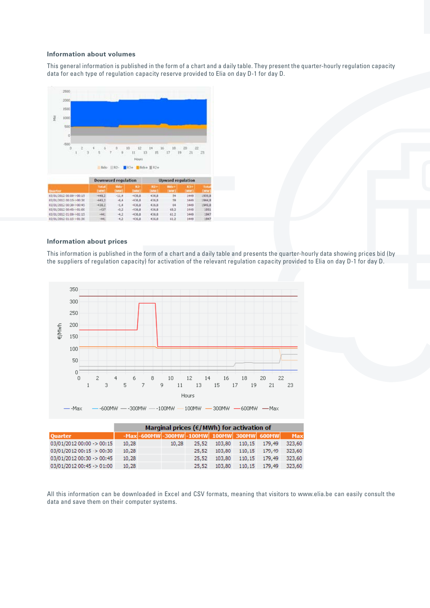#### **Information about volumes**

This general information is published in the form of a chart and a daily table. They present the quarter-hourly regulation capacity data for each type of regulation capacity reserve provided to Elia on day D-1 for day D.



#### **Information about prices**

This information is published in the form of a chart and a daily table and presents the quarter-hourly data showing prices bid (by the suppliers of regulation capacity) for activation of the relevant regulation capacity provided to Elia on day D-1 for day D.



|                           | Marginal prices ( $\epsilon$ /MWh) for activation of |  |       |                                               |        |  |                      |            |  |
|---------------------------|------------------------------------------------------|--|-------|-----------------------------------------------|--------|--|----------------------|------------|--|
| <b>Quarter</b>            |                                                      |  |       | $-Max$ -600MW -300MW -100MW 100MW 300MW 600MW |        |  |                      | <b>Max</b> |  |
| 03/01/2012 00:00 -> 00:15 | 10.28                                                |  | 10.28 | 25.52                                         |        |  | 103,80 110,15 179,49 | 323.60     |  |
| 03/01/2012 00:15 -> 00:30 | 10.28                                                |  |       | 25.52                                         | 103.80 |  | 110.15 179.49        | 323.60     |  |
| 03/01/2012 00:30 -> 00:45 | 10.28                                                |  |       | 25.52                                         | 103.80 |  | 110.15 179.49        | 323.60     |  |
| 03/01/2012 00:45 -> 01:00 | 10,28                                                |  |       | 25.52                                         | 103.80 |  | 110,15 179,49        | 323,60     |  |

All this information can be downloaded in Excel and CSV formats, meaning that visitors to www.elia.be can easily consult the data and save them on their computer systems.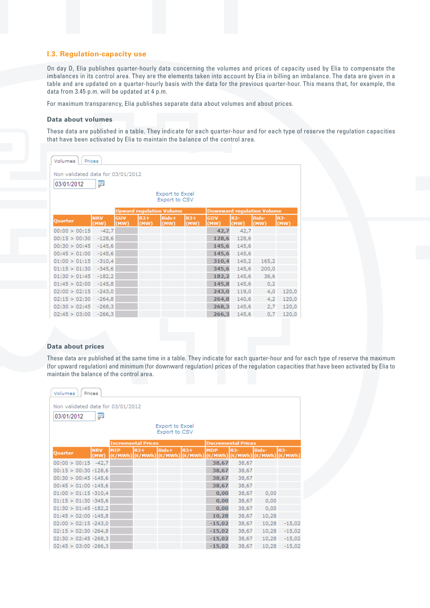### **I.3. Regulation-capacity use**

On day D, Elia publishes quarter-hourly data concerning the volumes and prices of capacity used by Elia to compensate the imbalances in its control area. They are the elements taken into account by Elia in billing an imbalance. The data are given in a table and are updated on a quarter-hourly basis with the data for the previous quarter-hour. This means that, for example, the data from 3.45 p.m. will be updated at 4 p.m.

For maximum transparency, Elia publishes separate data about volumes and about prices.

#### **Data about volumes**

These data are published in a table. They indicate for each quarter-hour and for each type of reserve the regulation capacities that have been activated by Elia to maintain the balance of the control area.

| Volumes<br>Prices                                                    |                    |             |               |               |               |             |               |                      |                    |
|----------------------------------------------------------------------|--------------------|-------------|---------------|---------------|---------------|-------------|---------------|----------------------|--------------------|
| Non validated data for 03/01/2012                                    |                    |             |               |               |               |             |               |                      |                    |
| ₽<br>03/01/2012                                                      |                    |             |               |               |               |             |               |                      |                    |
| <b>Export to Excel</b><br>Export to CSV                              |                    |             |               |               |               |             |               |                      |                    |
| <b>Upward regulation Volume</b><br><b>Downward regulation Volume</b> |                    |             |               |               |               |             |               |                      |                    |
| <b>Ouarter</b>                                                       | <b>NRV</b><br>(MW) | GUV<br>(MW) | $R2+$<br>(MW) | Bids+<br>(MW) | $R3+$<br>(MW) | GDV<br>(MW) | $R2-$<br>(MW) | <b>Bids-</b><br>(MW) | <b>R3-</b><br>(MW) |
| 00:00 > 00:15                                                        | $-42,7$            |             |               |               |               | 42,7        | 42,7          |                      |                    |
| 00:15 > 00:30                                                        | $-128,6$           |             |               |               |               | 128,6       | 128,6         |                      |                    |
| 00:30 > 00:45                                                        | $-145,6$           |             |               |               |               | 145,6       | 145,6         |                      |                    |
| 00:45 > 01:00                                                        | $-145,6$           |             |               |               |               | 145,6       | 145,6         |                      |                    |
| 01:00 > 01:15                                                        | $-310,4$           |             |               |               |               | 310,4       | 145,2         | 165,2                |                    |
| 01:15 > 01:30                                                        | $-345,6$           |             |               |               |               | 345,6       | 145,6         | 200,0                |                    |
| 01:30 > 01:45                                                        | $-182,2$           |             |               |               |               | 182,2       | 145,6         | 36,6                 |                    |
| 01:45 > 02:00                                                        | $-145,8$           |             |               |               |               | 145,8       | 145,6         | 0,2                  |                    |
| 02:00 > 02:15                                                        | $-243,0$           |             |               |               |               | 243,0       | 119,0         | 4,0                  | 120,0              |
| 02:15 > 02:30                                                        | $-264,8$           |             |               |               |               | 264,8       | 140,6         | 4,2                  | 120,0              |
| 02:30 > 02:45                                                        | $-268,3$           |             |               |               |               | 268,3       | 145,6         | 2,7                  | 120,0              |
| 02:45 > 03:00                                                        | $-266,3$           |             |               |               |               | 266,3       | 145,6         | 0,7                  | 120,0              |

#### **Data about prices**

These data are published at the same time in a table. They indicate for each quarter-hour and for each type of reserve the maximum (for upward regulation) and minimum (for downward regulation) prices of the regulation capacities that have been activated by Elia to maintain the balance of the control area.

| Volumes<br>Prices                                    |                                                        |            |       |       |                                                                                                                  |            |                                                                                                                          |       |                  |
|------------------------------------------------------|--------------------------------------------------------|------------|-------|-------|------------------------------------------------------------------------------------------------------------------|------------|--------------------------------------------------------------------------------------------------------------------------|-------|------------------|
| Non validated data for 03/01/2012<br>₽<br>03/01/2012 |                                                        |            |       |       |                                                                                                                  |            |                                                                                                                          |       |                  |
| Export to Excel<br>Export to CSV                     |                                                        |            |       |       |                                                                                                                  |            |                                                                                                                          |       |                  |
|                                                      | <b>Incremental Prices</b><br><b>Decremental Prices</b> |            |       |       |                                                                                                                  |            |                                                                                                                          |       |                  |
| Quarter                                              | <b>NRV</b><br>(MW)                                     | <b>MIP</b> | $R2+$ | Bids+ | $R3+$<br>$ (\varepsilon/\text{MWh}) (\varepsilon/\text{MWh}) (\varepsilon/\text{MWh}) (\varepsilon/\text{MWh}) $ | <b>MDP</b> | $R2-$<br>$ (\varepsilon/\texttt{MWh}) (\varepsilon/\texttt{MWh}) (\varepsilon/\texttt{MWh}) (\varepsilon/\texttt{MWh}) $ | Bids- | R <sub>3</sub> - |
| $00:00 > 00:15 -42,7$                                |                                                        |            |       |       |                                                                                                                  | 38,67      | 38,67                                                                                                                    |       |                  |
| $00:15 > 00:30 - 128.6$                              |                                                        |            |       |       |                                                                                                                  | 38,67      | 38,67                                                                                                                    |       |                  |
| $00:30 > 00:45 - 145,6$                              |                                                        |            |       |       |                                                                                                                  | 38,67      | 38,67                                                                                                                    |       |                  |
| $00:45 > 01:00 -145,6$                               |                                                        |            |       |       |                                                                                                                  | 38,67      | 38,67                                                                                                                    |       |                  |
| $01:00 > 01:15 - 310.4$                              |                                                        |            |       |       |                                                                                                                  | 0,00       | 38,67                                                                                                                    | 0,00  |                  |
| $01:15 > 01:30 - 345.6$                              |                                                        |            |       |       |                                                                                                                  | 0,00       | 38,67                                                                                                                    | 0,00  |                  |
| $01:30 > 01:45 - 182.2$                              |                                                        |            |       |       |                                                                                                                  | 0.00       | 38,67                                                                                                                    | 0,00  |                  |
| $01:45 > 02:00 - 145.8$                              |                                                        |            |       |       |                                                                                                                  | 10,28      | 38,67                                                                                                                    | 10,28 |                  |
| $02:00 > 02:15 - 243,0$                              |                                                        |            |       |       |                                                                                                                  | $-15,02$   | 38,67                                                                                                                    | 10,28 | $-15,02$         |
| $02:15 > 02:30 - 264.8$                              |                                                        |            |       |       |                                                                                                                  | $-15,02$   | 38,67                                                                                                                    | 10,28 | $-15,02$         |
| $02:30 > 02:45 - 268,3$                              |                                                        |            |       |       |                                                                                                                  | $-15,02$   | 38,67                                                                                                                    | 10,28 | $-15,02$         |
| $02:45 > 03:00 - 266.3$                              |                                                        |            |       |       |                                                                                                                  | $-15,02$   | 38,67                                                                                                                    | 10,28 | $-15,02$         |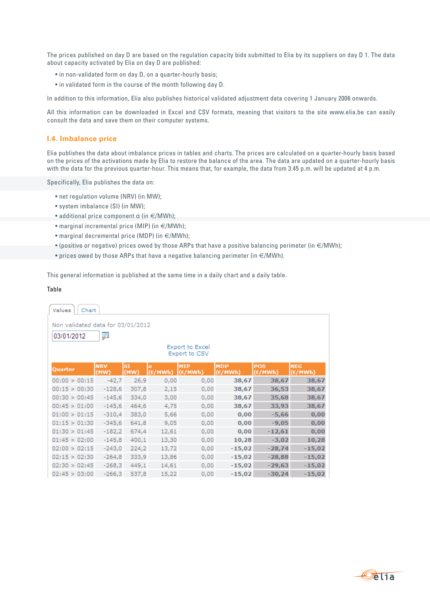The prices published on day D are based on the regulation capacity bids submitted to Elia by its suppliers on day D 1. The data about capacity activated by Elia on day D are published:

- in non-validated form on day D, on a quarter-hourly basis;
- in validated form in the course of the month following day D.

In addition to this information, Elia also publishes historical validated adjustment data covering 1 January 2006 onwards.

All this information can be downloaded in Excel and CSV formats, meaning that visitors to the site www.elia.be can easily consult the data and save them on their computer systems.

#### **I.4. Imbalance price**

Elia publishes the data about imbalance prices in tables and charts. The prices are calculated on a quarter-hourly basis based on the prices of the activations made by Elia to restore the balance of the area. The data are updated on a quarter-hourly basis with the data for the previous quarter-hour. This means that, for example, the data from 3.45 p.m. will be updated at 4 p.m.

Specifically, Elia publishes the data on:

- net regulation volume (NRV) (in MW);
- system imbalance (SI) (in MW);
- additional price component  $\alpha$  (in  $\in$ /MWh);
- marginal incremental price (MIP) (in  $\in$ /MWh);
- marginal decremental price (MDP) (in €/MWh);
- (positive or negative) prices owed by those ARPs that have a positive balancing perimeter (in  $\epsilon$ /MWh);
- prices owed by those ARPs that have a negative balancing perimeter (in  $\in$ /MWh).

This general information is published at the same time in a daily chart and a daily table.

#### Table

| Values<br>Chart                                                                                 |                    |                   |            |                       |                       |                                |                                |  |  |
|-------------------------------------------------------------------------------------------------|--------------------|-------------------|------------|-----------------------|-----------------------|--------------------------------|--------------------------------|--|--|
| Non validated data for 03/01/2012<br>p<br>03/01/2012<br><b>Export to Excel</b><br>Export to CSV |                    |                   |            |                       |                       |                                |                                |  |  |
| Quarter                                                                                         | <b>NRV</b><br>(MW) | <b>SI</b><br>(MW) | a<br>'MWh] | <b>MIP</b><br>(€/MWh) | <b>MDP</b><br>(€/MWh) | <b>POS</b><br>$(\epsilon/MWh)$ | <b>NEG</b><br>$(\epsilon/MWh)$ |  |  |
| 00:00 > 00:15                                                                                   | $-42,7$            | 26,9              | 0,00       | 0,00                  | 38,67                 | 38,67                          | 38,67                          |  |  |
| 00:15 > 00:30                                                                                   | $-128,6$           | 307,8             | 2,15       | 0,00                  | 38,67                 | 36,53                          | 38,67                          |  |  |
| 00:30 > 00:45                                                                                   | $-145,6$           | 334,0             | 3,00       | 0,00                  | 38,67                 | 35,68                          | 38,67                          |  |  |
| 00:45 > 01:00                                                                                   | $-145,6$           | 464,6             | 4,75       | 0,00                  | 38,67                 | 33,93                          | 38,67                          |  |  |
| 01:00 > 01:15                                                                                   | $-310,4$           | 383,0             | 5,66       | 0,00                  | 0,00                  | $-5,66$                        | 0,00                           |  |  |
| 01:15 > 01:30                                                                                   | $-345,6$           | 641,8             | 9,05       | 0,00                  | 0,00                  | $-9,05$                        | 0,00                           |  |  |
| 01:30 > 01:45                                                                                   | $-182,2$           | 674,4             | 12,61      | 0,00                  | 0,00                  | $-12,61$                       | 0,00                           |  |  |
| 01:45 > 02:00                                                                                   | $-145,8$           | 400,1             | 13,30      | 0,00                  | 10,28                 | $-3,02$                        | 10,28                          |  |  |
| 02:00 > 02:15                                                                                   | $-243,0$           | 224,2             | 13,72      | 0,00                  | $-15,02$              | $-28,74$                       | $-15,02$                       |  |  |
| 02:15 > 02:30                                                                                   | $-264,8$           | 333,9             | 13,86      | 0,00                  | $-15,02$              | $-28,88$                       | $-15,02$                       |  |  |
| 02:30 > 02:45                                                                                   | $-268,3$           | 449,1             | 14,61      | 0,00                  | $-15,02$              | -29,63                         | $-15,02$                       |  |  |
| 02:45 > 03:00                                                                                   | $-266,3$           | 537,8             | 15,22      | 0,00                  | $-15,02$              | $-30,24$                       | $-15,02$                       |  |  |

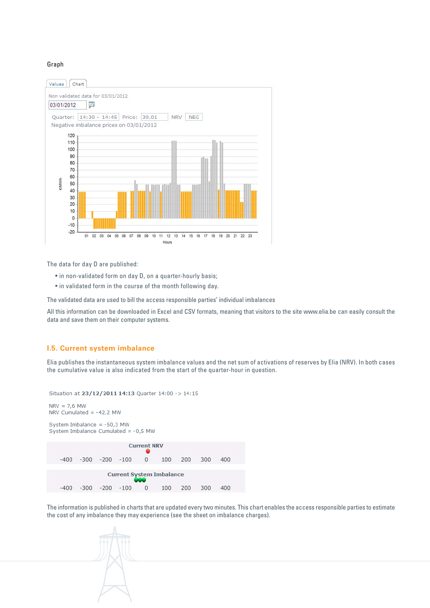#### Graph



The data for day D are published:

- in non-validated form on day D, on a quarter-hourly basis;
- in validated form in the course of the month following day.

The validated data are used to bill the access responsible parties' individual imbalances

All this information can be downloaded in Excel and CSV formats, meaning that visitors to the site www.elia.be can easily consult the data and save them on their computer systems.

#### **I.5. Current system imbalance**

Elia publishes the instantaneous system imbalance values and the net sum of activations of reserves by Elia (NRV). In both cases the cumulative value is also indicated from the start of the quarter-hour in question.

```
Situation at 23/12/2011 14:13 Quarter 14:00 -> 14:15
NRV = 7,6 MWNRV Cumulated = -42,2 MW
System Imbalance = -50.3 MW
System Imbalance Cumulated = -0,5 MW
                            Current NRV
    -400-300-200-100\mathbf{0}100
                                               200
                                                      300
                                                             400
                     Current System Imbalance
    -400-300-200-100\overline{0}100
                                               200
                                                      300
                                                             400
```
The information is published in charts that are updated every two minutes. This chart enables the access responsible parties to estimate the cost of any imbalance they may experience (see the sheet on imbalance charges).